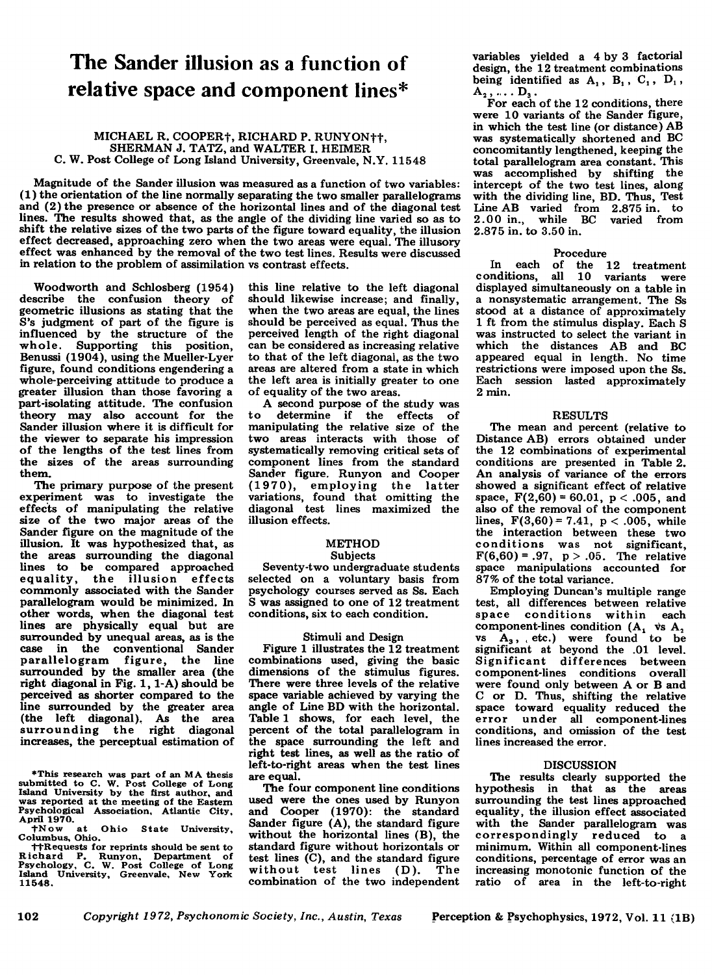# **The Sander illusion as a function of relative space and component Iines\***

#### MICHAEL R. COOPERt, RICHARD P. RUNYONtt, SHERMAN J. TATZ, and WALTER I. HEIMER C. W. Post College of Long Island University, Greenvale, N.Y. 11548

Magnitude of the Sander illusion was measured as a function of two variables: (1) the orientation of the line normally separating the two smaller parallelograms and (2) the presence or absence of the horizontal lines and of the diagonal test lines. The results showed that, as the angle of the dividing line varied so as to shift the relative sizes of the two parts of the figure toward equality, the illusion effect decreased, approaching zero when the two areas were equal. The illusory effect was enhanced by the removal of the two test lines. Results were discussed in relation to the problem of assimilation vs contrast effects.

Woodworth and Schlosberg (1954) describe the confusion theory of geometric illusions as stating that the S's judgment of part of the figure is influenced by the structure of the whole. Supporting this position, Benussi (1904), using the Mueller-Lyer figure, found conditions engendering a whole-perceiving attitude to produce a greater illusion than those favoring a part-isolating attitude. The confusion theory may also account for the Sander illusion where it is difficult for the viewer to separate his impression of the lengths of the test lines from the sizes of the areas surrounding them.

The primary purpose of the present experiment was to investigate the effects of manipulating the relative size of the two major areas of the Sander figure on the magnitude of the illusion. It was hypothesized that, as the areas surrounding the diagonal lines to be compared approached equality, the illusion effects commonly associated with the Sander parallelogram would be minimized. In other words, when the diagonal test lines are physically equal but are surrounded by unequal areas, as is the case in the conventional Sander parallelogram figure, the line surrounded by the smaller area (the right diagonal in Fig. 1, I-A) should be perceived as shorter compared to the line surrounded by the greater area (the left diagonal). As the area surrounding the right diagonal increases, the perceptual estimation of

this line relative to the left diagonal should likewise increase; and finally, when the two areas are equal, the lines should be perceived as equal. Thus the perceived length of the right diagonal can be considered as increasing relative to that of the left diagonal, as the two areas are altered from a state in which the left area is initially greater to one of equality of the two areas.

A second purpose of the study was to determine if the effects of manipulating the relative size of the two areas interacts with those of systematically removing critical sets of component lines from the standard Sander figure. Runyon and Cooper (1970), employing the latter variations, found that omitting the diagonal test lines maximized the illusion effects.

#### **METHOD** Subjects

Seventy-two undergraduate students selected on a voluntary basis from psychology courses served as Ss. Each S was assigned to one of 12 treatment conditions, six to each condition.

## Stimuli and Design

Figure 1 illustrates the 12 treatment combinations used, giving the basic dimensions of the stimulus figures. There were three levels of the relative space variable achieved by varying the angle of Line BD with the horizontal. Table 1 shows, for each level, the percent of the total parallelogram in the space surrounding the left and right test lines, as well as the ratio of left-to-right areas when the test lines are equal.

The four component line conditions used were the ones used by Runyon and Cooper (1970): the standard Sander figure (A), the standard figure without the horizontal lines (B), the standard figure without horizontals or test lines (C), and the standard figure without test lines (D). The combination of the two independent

variables yielded a 4 by 3 factorial design, the 12 treatment combinations being identified as  $A_1$ ,  $B_1$ ,  $C_1$ ,  $D_1$ ,  $A_2, \ldots, D_3$ .

For each of the 12 conditions, there were 10 variants of the Sander figure, in which the test line (or distance) AB was systematically shortened and BC concomitantly lengthened, keeping the total parallelogram area constant. This was accomplished by shifting the intercept of the two test lines, along with the dividing line, BD. Thus, Test Line AB varied from 2.875 in. to 2.00 in., while BC varied from 2.875 in. to 3.50 in.

## Procedure

In each of the 12 treatment conditions, all 10 variants were displayed simultaneously on a table in a nonsystematic arrangement. The Ss stood at a distance of approximately 1 ft from the stimulus display. Each S was instructed to select the variant in which the distances AB and BC appeared equal in length. No time restrictions were imposed upon the Ss. Each session lasted approximately 2 min.

## RESULTS

The mean and percent (relative to Distance AB) errors obtained under the 12 combinations of experimental conditions are presented in Table 2. An analysis of variance of the errors showed a significant effect of relative space,  $F(2,60) = 60.01$ ,  $p < .005$ , and also of the removal of the component lines,  $F(3,60) = 7.41$ ,  $p < .005$ , while the interaction between these two conditions was not significant,  $F(6,60) = .97, p > .05.$  The relative space manipulations accounted for 87% of the total variance.

Employing Duncan's multiple range test, all differences between relative space conditions within each component-lines condition  $(A_1 \t{vs } A_2 \t{vs } A_3$ , etc.) were found to be significant at beyond the .01 level. Significant differences between component-lines conditions overall were found only between A or B and C or D. Thus, shifting the relative space toward equality reduced the error under all component-lines conditions, and omission of the test lines increased the error.

### **DISCUSSION**

The results clearly supported the hypothesis in that as the areas surrounding the test lines approached equality, the illusion effect associated with the Sander parallelogram was correspondingly reduced to a minimum. Within all component-lines conditions, percentage of error was an increasing monotonic function of the ratio of area in the left-to-right

<sup>\*</sup>This research was part of an MA thesis submitted to C. W. Post College of Long Island University by the first author. and was reported at the meeting of the Eastern Psychological Association. Atlantic City. April 1970.

tNow at Ohio State University. Columbus. Ohio.

ttRequests for reprints should be sent to Richard P, Runyon. Department of Psychology. C. W. Post College of Long Island University. Greenvale. New York 11548.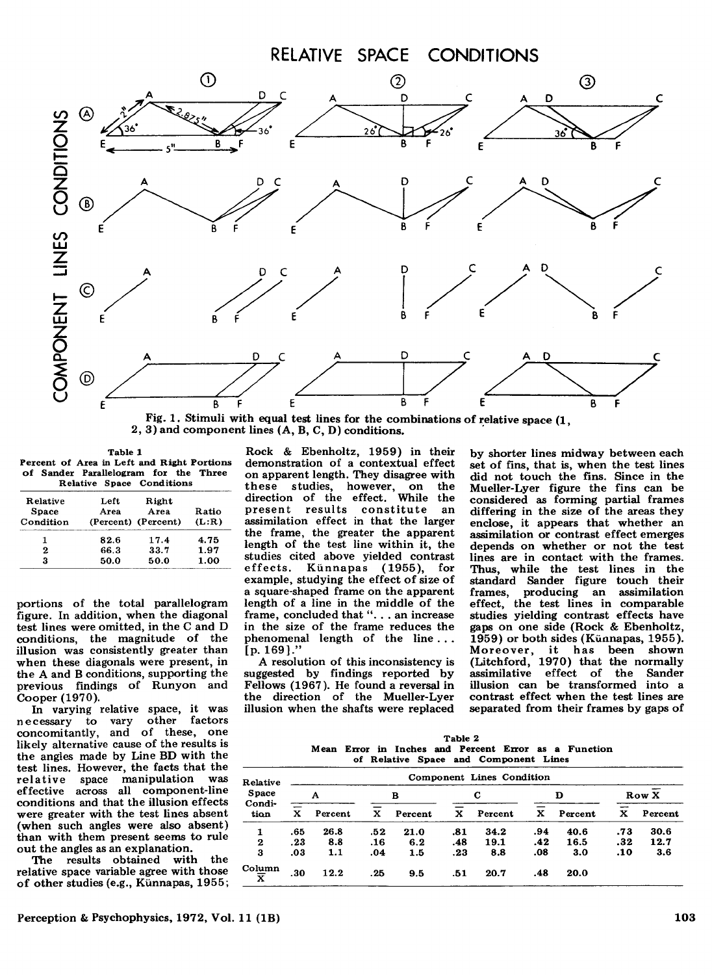

Fig. 1. Stimuli with equal test lines for the combinations of relative space (1, 2, 3) and component lines (A, B, C, D) conditions.

| Table 1 |                                            |  |                           |  |  |  |  |  |  |  |  |
|---------|--------------------------------------------|--|---------------------------|--|--|--|--|--|--|--|--|
|         | Percent of Area in Left and Right Portions |  |                           |  |  |  |  |  |  |  |  |
|         | of Sander Parallelogram for the Three      |  |                           |  |  |  |  |  |  |  |  |
|         |                                            |  | Relative Space Conditions |  |  |  |  |  |  |  |  |

| Relative<br><b>Space</b><br>Condition | Left<br>Area | Right<br>Area<br>(Percent) (Percent) | Ratio<br>(L:R) |  |
|---------------------------------------|--------------|--------------------------------------|----------------|--|
|                                       | 82.6         | 17.4                                 | 4.75           |  |
| 2                                     | 66.3         | 33.7                                 | 1.97           |  |
| я                                     | 50.0         | 50.0                                 | 1.00           |  |

portions of the total parallelogram figure. In addition, when the diagonal test lines were omitted, in the C and D conditions, the magnitude of the illusion was consistently greater than when these diagonals were present, in the A and B conditions, supporting the previous findings of Runyon and Cooper (1970).

In varying relative space, it was<br>necessary to vary other factors to vary other concomitantly, and of these, one likely alternative cause of the results is the angles made by Line BD with the test lines. However, the facts that the relative space manipulation was effective across all component-line conditions and that the illusion effects were greater with the test lines absent (when such angles were also absent) than with them present seems to rule out the angles as an explanation.

The results obtained with the relative space variable agree with those of other studies (e.g., Künnapas, 1955;

Rock & Ebenholtz, 1959) in their demonstration of a contextual effect on apparent length. They disagree with these studies, however, on the direction of the effect. While the present results constitute an assimilation effect in that the larger the frame, the greater the apparent length of the test line within it, the studies cited above yielded contrast effects. Kiinnapas (1955), for example, studying the effect of size of a square-shaped frame on the apparent length of a line in the middle of the frame, concluded that"... an increase in the size of the frame reduces the phenomenal length of the line ... [p.169]."

A resolution of this inconsistency is suggested by findings reported by Fellows (1967). He found a reversal in the direction of the Mueller-Lyer illusion when the shafts were replaced

by shorter lines midway between each set of fins, that is, when the test lines did not touch the fins. Since in the Mueller-Lyer figure the fins can be considered as forming partial frames differing in the size of the areas they enclose, it appears that whether an assimilation or contrast effect emerges depends on whether or not the test lines are in contact with the frames. Thus, while the test lines in the standard Sander figure touch their<br>frames, producing an assimilation frames, producing an assimilation effect, the test lines in comparable studies yielding contrast effects have gaps on one side (Rock & Ebenholtz, 1959) or both sides (Künnapas, 1955). Moreover, it has been shown (Litchford, 1970) that the normally assimilative effect of the Sander illusion can be transformed into a contrast effect when the test lines are separated from their frames by gaps of

| Table 2 |  |  |  |  |  |                                       |  |  |                                                      |
|---------|--|--|--|--|--|---------------------------------------|--|--|------------------------------------------------------|
|         |  |  |  |  |  |                                       |  |  | Mean Error in Inches and Percent Error as a Function |
|         |  |  |  |  |  | of Relative Space and Component Lines |  |  |                                                      |

| Relative<br>Space<br>Condi-<br>tion |     | Component Lines Condition |     |         |     |         |     |         |        |         |  |  |
|-------------------------------------|-----|---------------------------|-----|---------|-----|---------|-----|---------|--------|---------|--|--|
|                                     | A   |                           |     | в       |     | С       |     | D       |        | Row X   |  |  |
|                                     | x   | Percent                   | x   | Percent | x   | Percent | x   | Percent | -<br>x | Percent |  |  |
| 1                                   | .65 | 26.8                      | .52 | 21.0    | .81 | 34.2    | .94 | 40.6    | .73    | 30.6    |  |  |
| $\bf{2}$                            | .23 | 8.8                       | .16 | 6.2     | .48 | 19.1    | .42 | 16.5    | .32    | 12.7    |  |  |
| 3                                   | .03 | 1.1                       | .04 | 1.5     | .23 | 8.8     | .08 | 3.0     | .10    | 3.6     |  |  |
| Column<br>$\overline{\mathbf{x}}$   | .30 | 12.2                      | .25 | 9.5     | .51 | 20.7    | .48 | 20.0    |        |         |  |  |